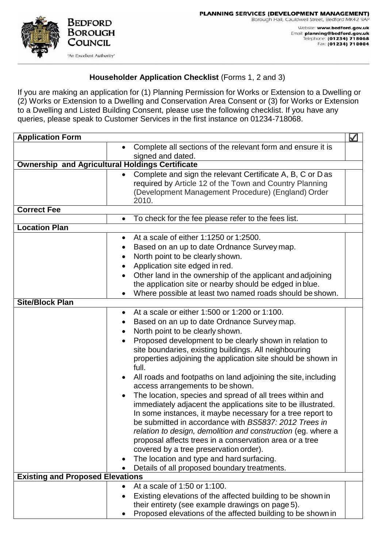

## **Householder Application Checklist** (Forms 1, 2 and 3)

If you are making an application for (1) Planning Permission for Works or Extension to a Dwelling or (2) Works or Extension to a Dwelling and Conservation Area Consent or (3) for Works or Extension to a Dwelling and Listed Building Consent, please use the following checklist. If you have any queries, please speak to Customer Services in the first instance on 01234-718068.

| <b>Application Form</b>                                |                                                                                                                                                                                                                                                                                                                                                                                                                                                                                                                                                                                                                                                                                                                                                                                                                                                                                                                                                                                                                           | M |  |
|--------------------------------------------------------|---------------------------------------------------------------------------------------------------------------------------------------------------------------------------------------------------------------------------------------------------------------------------------------------------------------------------------------------------------------------------------------------------------------------------------------------------------------------------------------------------------------------------------------------------------------------------------------------------------------------------------------------------------------------------------------------------------------------------------------------------------------------------------------------------------------------------------------------------------------------------------------------------------------------------------------------------------------------------------------------------------------------------|---|--|
|                                                        | Complete all sections of the relevant form and ensure it is                                                                                                                                                                                                                                                                                                                                                                                                                                                                                                                                                                                                                                                                                                                                                                                                                                                                                                                                                               |   |  |
|                                                        | signed and dated.                                                                                                                                                                                                                                                                                                                                                                                                                                                                                                                                                                                                                                                                                                                                                                                                                                                                                                                                                                                                         |   |  |
| <b>Ownership and Agricultural Holdings Certificate</b> |                                                                                                                                                                                                                                                                                                                                                                                                                                                                                                                                                                                                                                                                                                                                                                                                                                                                                                                                                                                                                           |   |  |
|                                                        | Complete and sign the relevant Certificate A, B, C or Das<br>$\bullet$<br>required by Article 12 of the Town and Country Planning<br>(Development Management Procedure) (England) Order<br>2010.                                                                                                                                                                                                                                                                                                                                                                                                                                                                                                                                                                                                                                                                                                                                                                                                                          |   |  |
| <b>Correct Fee</b>                                     |                                                                                                                                                                                                                                                                                                                                                                                                                                                                                                                                                                                                                                                                                                                                                                                                                                                                                                                                                                                                                           |   |  |
|                                                        | To check for the fee please refer to the fees list.<br>$\bullet$                                                                                                                                                                                                                                                                                                                                                                                                                                                                                                                                                                                                                                                                                                                                                                                                                                                                                                                                                          |   |  |
| <b>Location Plan</b>                                   |                                                                                                                                                                                                                                                                                                                                                                                                                                                                                                                                                                                                                                                                                                                                                                                                                                                                                                                                                                                                                           |   |  |
|                                                        | At a scale of either 1:1250 or 1:2500.<br>$\bullet$<br>Based on an up to date Ordnance Survey map.<br>North point to be clearly shown.<br>٠<br>Application site edged in red.<br>Other land in the ownership of the applicant and adjoining<br>the application site or nearby should be edged in blue.<br>Where possible at least two named roads should be shown.<br>$\bullet$                                                                                                                                                                                                                                                                                                                                                                                                                                                                                                                                                                                                                                           |   |  |
| <b>Site/Block Plan</b>                                 |                                                                                                                                                                                                                                                                                                                                                                                                                                                                                                                                                                                                                                                                                                                                                                                                                                                                                                                                                                                                                           |   |  |
|                                                        | At a scale or either 1:500 or 1:200 or 1:100.<br>$\bullet$<br>Based on an up to date Ordnance Survey map.<br>$\bullet$<br>North point to be clearly shown.<br>$\bullet$<br>Proposed development to be clearly shown in relation to<br>site boundaries, existing buildings. All neighbouring<br>properties adjoining the application site should be shown in<br>full.<br>All roads and footpaths on land adjoining the site, including<br>$\bullet$<br>access arrangements to be shown.<br>The location, species and spread of all trees within and<br>$\bullet$<br>immediately adjacent the applications site to be illustrated.<br>In some instances, it maybe necessary for a tree report to<br>be submitted in accordance with BS5837: 2012 Trees in<br>relation to design, demolition and construction (eg. where a<br>proposal affects trees in a conservation area or a tree<br>covered by a tree preservation order).<br>The location and type and hard surfacing.<br>Details of all proposed boundary treatments. |   |  |
| <b>Existing and Proposed Elevations</b>                |                                                                                                                                                                                                                                                                                                                                                                                                                                                                                                                                                                                                                                                                                                                                                                                                                                                                                                                                                                                                                           |   |  |
|                                                        | At a scale of 1:50 or 1:100.<br>Existing elevations of the affected building to be shown in<br>$\bullet$<br>their entirety (see example drawings on page 5).<br>Proposed elevations of the affected building to be shown in                                                                                                                                                                                                                                                                                                                                                                                                                                                                                                                                                                                                                                                                                                                                                                                               |   |  |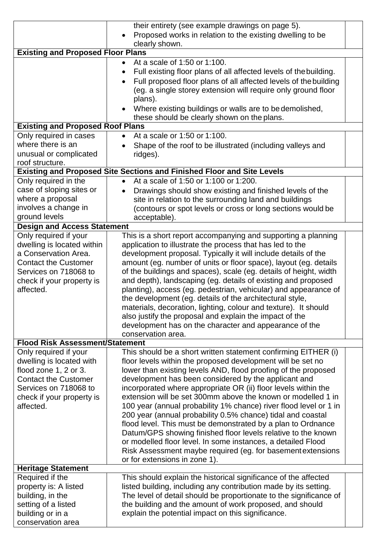|                                                                            | their entirety (see example drawings on page 5).                               |  |  |  |
|----------------------------------------------------------------------------|--------------------------------------------------------------------------------|--|--|--|
|                                                                            | Proposed works in relation to the existing dwelling to be                      |  |  |  |
|                                                                            | clearly shown.                                                                 |  |  |  |
| <b>Existing and Proposed Floor Plans</b>                                   |                                                                                |  |  |  |
|                                                                            | At a scale of 1:50 or 1:100.                                                   |  |  |  |
|                                                                            | Full existing floor plans of all affected levels of the building.<br>$\bullet$ |  |  |  |
|                                                                            | Full proposed floor plans of all affected levels of the building<br>$\bullet$  |  |  |  |
|                                                                            | (eg. a single storey extension will require only ground floor<br>plans).       |  |  |  |
|                                                                            | Where existing buildings or walls are to be demolished,                        |  |  |  |
|                                                                            | these should be clearly shown on the plans.                                    |  |  |  |
| <b>Existing and Proposed Roof Plans</b>                                    |                                                                                |  |  |  |
| Only required in cases                                                     | At a scale or 1:50 or 1:100.<br>$\bullet$                                      |  |  |  |
| where there is an                                                          | Shape of the roof to be illustrated (including valleys and                     |  |  |  |
| unusual or complicated                                                     | ridges).                                                                       |  |  |  |
| roof structure.                                                            |                                                                                |  |  |  |
|                                                                            | <b>Existing and Proposed Site Sections and Finished Floor and Site Levels</b>  |  |  |  |
| Only required in the<br>At a scale of 1:50 or 1:100 or 1:200.<br>$\bullet$ |                                                                                |  |  |  |
| case of sloping sites or                                                   | Drawings should show existing and finished levels of the<br>$\bullet$          |  |  |  |
| where a proposal                                                           | site in relation to the surrounding land and buildings                         |  |  |  |
| involves a change in                                                       | (contours or spot levels or cross or long sections would be                    |  |  |  |
| ground levels                                                              | acceptable).                                                                   |  |  |  |
| <b>Design and Access Statement</b>                                         |                                                                                |  |  |  |
| Only required if your                                                      | This is a short report accompanying and supporting a planning                  |  |  |  |
| dwelling is located within                                                 | application to illustrate the process that has led to the                      |  |  |  |
| a Conservation Area.                                                       | development proposal. Typically it will include details of the                 |  |  |  |
| <b>Contact the Customer</b>                                                | amount (eg. number of units or floor space), layout (eg. details               |  |  |  |
| Services on 718068 to                                                      | of the buildings and spaces), scale (eg. details of height, width              |  |  |  |
| check if your property is                                                  | and depth), landscaping (eg. details of existing and proposed                  |  |  |  |
| affected.                                                                  | planting), access (eg. pedestrian, vehicular) and appearance of                |  |  |  |
|                                                                            | the development (eg. details of the architectural style,                       |  |  |  |
|                                                                            | materials, decoration, lighting, colour and texture). It should                |  |  |  |
|                                                                            | also justify the proposal and explain the impact of the                        |  |  |  |
|                                                                            | development has on the character and appearance of the                         |  |  |  |
|                                                                            | conservation area.                                                             |  |  |  |
| <b>Flood Risk Assessment/Statement</b>                                     |                                                                                |  |  |  |
| Only required if your                                                      | This should be a short written statement confirming EITHER (i)                 |  |  |  |
| dwelling is located with                                                   | floor levels within the proposed development will be set no                    |  |  |  |
| flood zone 1, 2 or 3.                                                      | lower than existing levels AND, flood proofing of the proposed                 |  |  |  |
| <b>Contact the Customer</b>                                                | development has been considered by the applicant and                           |  |  |  |
| Services on 718068 to                                                      | incorporated where appropriate OR (ii) floor levels within the                 |  |  |  |
| check if your property is                                                  | extension will be set 300mm above the known or modelled 1 in                   |  |  |  |
| affected.                                                                  | 100 year (annual probability 1% chance) river flood level or 1 in              |  |  |  |
|                                                                            | 200 year (annual probability 0.5% chance) tidal and coastal                    |  |  |  |
|                                                                            | flood level. This must be demonstrated by a plan to Ordnance                   |  |  |  |
|                                                                            | Datum/GPS showing finished floor levels relative to the known                  |  |  |  |
|                                                                            | or modelled floor level. In some instances, a detailed Flood                   |  |  |  |
|                                                                            | Risk Assessment maybe required (eg. for basement extensions                    |  |  |  |
|                                                                            | or for extensions in zone 1).                                                  |  |  |  |
| <b>Heritage Statement</b>                                                  |                                                                                |  |  |  |
| Required if the                                                            | This should explain the historical significance of the affected                |  |  |  |
| property is: A listed                                                      | listed building, including any contribution made by its setting.               |  |  |  |
| building, in the                                                           | The level of detail should be proportionate to the significance of             |  |  |  |
| setting of a listed                                                        | the building and the amount of work proposed, and should                       |  |  |  |
| building or in a                                                           | explain the potential impact on this significance.                             |  |  |  |
| conservation area                                                          |                                                                                |  |  |  |